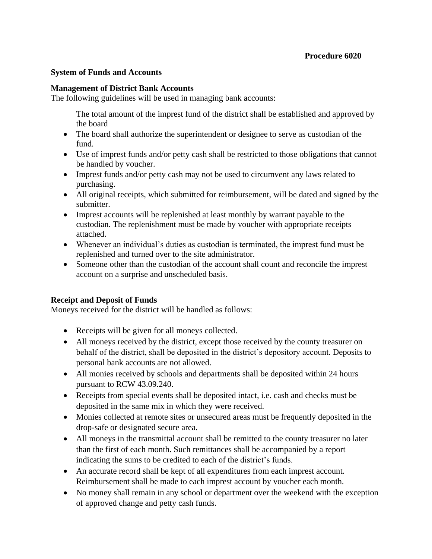## **System of Funds and Accounts**

### **Management of District Bank Accounts**

The following guidelines will be used in managing bank accounts:

The total amount of the imprest fund of the district shall be established and approved by the board

- The board shall authorize the superintendent or designee to serve as custodian of the fund.
- Use of imprest funds and/or petty cash shall be restricted to those obligations that cannot be handled by voucher.
- Imprest funds and/or petty cash may not be used to circumvent any laws related to purchasing.
- All original receipts, which submitted for reimbursement, will be dated and signed by the submitter.
- Imprest accounts will be replenished at least monthly by warrant payable to the custodian. The replenishment must be made by voucher with appropriate receipts attached.
- Whenever an individual's duties as custodian is terminated, the imprest fund must be replenished and turned over to the site administrator.
- Someone other than the custodian of the account shall count and reconcile the imprest account on a surprise and unscheduled basis.

## **Receipt and Deposit of Funds**

Moneys received for the district will be handled as follows:

- Receipts will be given for all moneys collected.
- All moneys received by the district, except those received by the county treasurer on behalf of the district, shall be deposited in the district's depository account. Deposits to personal bank accounts are not allowed.
- All monies received by schools and departments shall be deposited within 24 hours pursuant to RCW 43.09.240.
- Receipts from special events shall be deposited intact, i.e. cash and checks must be deposited in the same mix in which they were received.
- Monies collected at remote sites or unsecured areas must be frequently deposited in the drop-safe or designated secure area.
- All moneys in the transmittal account shall be remitted to the county treasurer no later than the first of each month. Such remittances shall be accompanied by a report indicating the sums to be credited to each of the district's funds.
- An accurate record shall be kept of all expenditures from each imprest account. Reimbursement shall be made to each imprest account by voucher each month.
- No money shall remain in any school or department over the weekend with the exception of approved change and petty cash funds.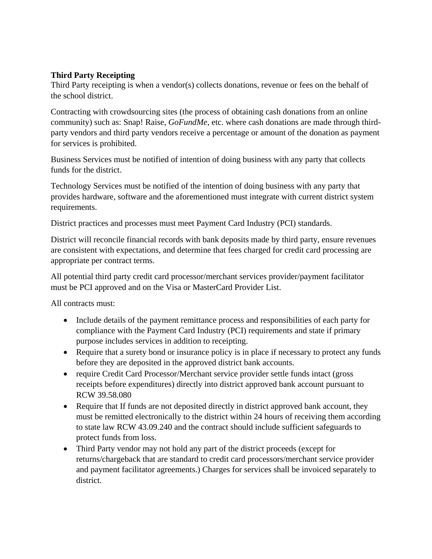# **Third Party Receipting**

Third Party receipting is when a vendor(s) collects donations, revenue or fees on the behalf of the school district.

Contracting with crowdsourcing sites (the process of obtaining cash donations from an online community) such as: Snap! Raise, *GoFundMe*, etc. where cash donations are made through thirdparty vendors and third party vendors receive a percentage or amount of the donation as payment for services is prohibited.

Business Services must be notified of intention of doing business with any party that collects funds for the district.

Technology Services must be notified of the intention of doing business with any party that provides hardware, software and the aforementioned must integrate with current district system requirements.

District practices and processes must meet Payment Card Industry (PCI) standards.

District will reconcile financial records with bank deposits made by third party, ensure revenues are consistent with expectations, and determine that fees charged for credit card processing are appropriate per contract terms.

All potential third party credit card processor/merchant services provider/payment facilitator must be PCI approved and on the Visa or MasterCard Provider List.

All contracts must:

- Include details of the payment remittance process and responsibilities of each party for compliance with the Payment Card Industry (PCI) requirements and state if primary purpose includes services in addition to receipting.
- Require that a surety bond or insurance policy is in place if necessary to protect any funds before they are deposited in the approved district bank accounts.
- require Credit Card Processor/Merchant service provider settle funds intact (gross receipts before expenditures) directly into district approved bank account pursuant to RCW 39.58.080
- Require that If funds are not deposited directly in district approved bank account, they must be remitted electronically to the district within 24 hours of receiving them according to state law RCW 43.09.240 and the contract should include sufficient safeguards to protect funds from loss.
- Third Party vendor may not hold any part of the district proceeds (except for returns/chargeback that are standard to credit card processors/merchant service provider and payment facilitator agreements.) Charges for services shall be invoiced separately to district.